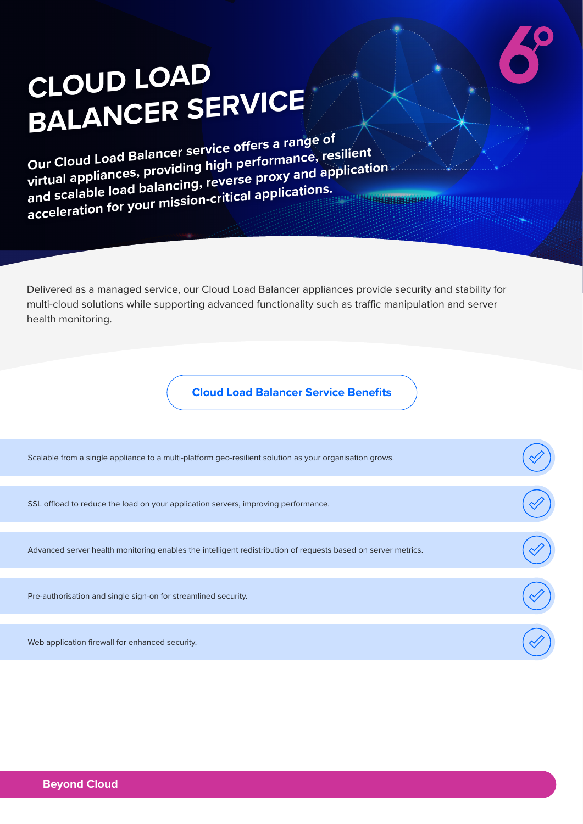# **CLOUD LOAD BALANCER SERVICE**

**Our Cloud Load Balancer service offers a range of virtual appliances, providing high performance, resilient and scalable load balancing, reverse proxy and application acceleration for your mission-critical applications.**

Delivered as a managed service, our Cloud Load Balancer appliances provide security and stability for multi-cloud solutions while supporting advanced functionality such as traffic manipulation and server health monitoring.

**Cloud Load Balancer Service Benefits**

| Scalable from a single appliance to a multi-platform geo-resilient solution as your organisation grows.       |  |
|---------------------------------------------------------------------------------------------------------------|--|
| SSL offload to reduce the load on your application servers, improving performance.                            |  |
|                                                                                                               |  |
| Advanced server health monitoring enables the intelligent redistribution of requests based on server metrics. |  |
|                                                                                                               |  |
| Pre-authorisation and single sign-on for streamlined security.                                                |  |
|                                                                                                               |  |
| Web application firewall for enhanced security.                                                               |  |
|                                                                                                               |  |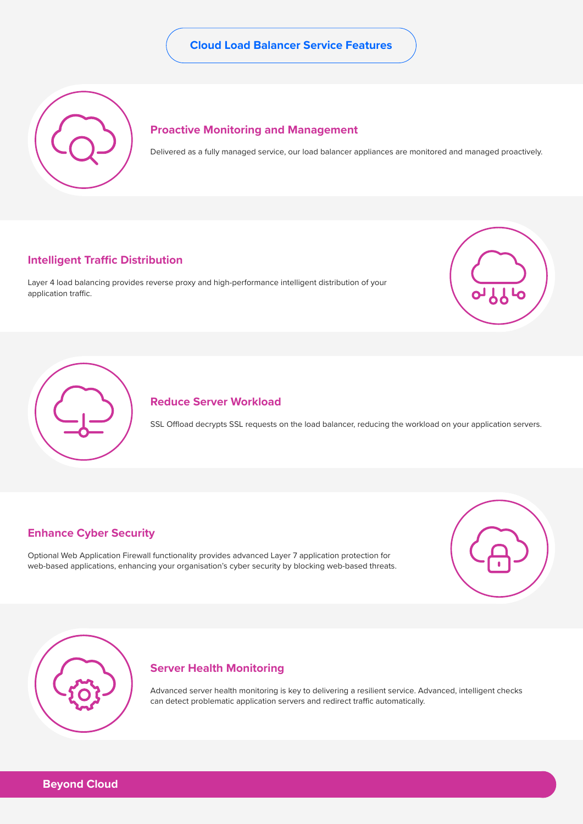### **Cloud Load Balancer Service Features**



#### **Proactive Monitoring and Management**

Delivered as a fully managed service, our load balancer appliances are monitored and managed proactively.

#### **Intelligent Traffic Distribution**

Layer 4 load balancing provides reverse proxy and high-performance intelligent distribution of your application traffic.





### **Reduce Server Workload**

SSL Offload decrypts SSL requests on the load balancer, reducing the workload on your application servers.

## **Enhance Cyber Security**

Optional Web Application Firewall functionality provides advanced Layer 7 application protection for web-based applications, enhancing your organisation's cyber security by blocking web-based threats.





#### **Server Health Monitoring**

Advanced server health monitoring is key to delivering a resilient service. Advanced, intelligent checks can detect problematic application servers and redirect traffic automatically.